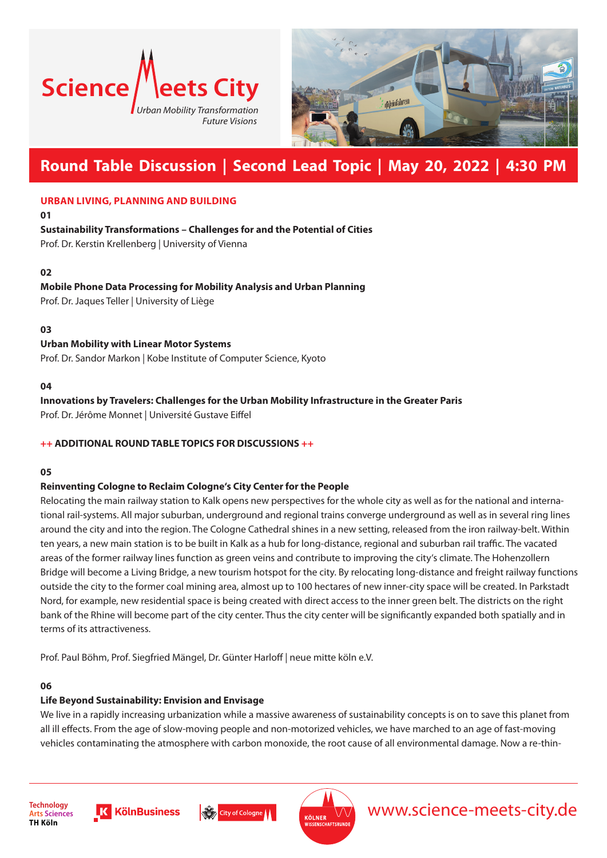



# **Round Table Discussion | Second Lead Topic | May 20, 2022 | 4:30 PM**

#### **URBAN LIVING, PLANNING AND BUILDING**

**01**

## **Sustainability Transformations – Challenges for and the Potential of Cities**

Prof. Dr. Kerstin Krellenberg | University of Vienna

#### **02**

# **Mobile Phone Data Processing for Mobility Analysis and Urban Planning**

Prof. Dr. Jaques Teller | University of Liège

#### **03**

## **Urban Mobility with Linear Motor Systems**

Prof. Dr. Sandor Markon | Kobe Institute of Computer Science, Kyoto

#### **04**

## **Innovations by Travelers: Challenges for the Urban Mobility Infrastructure in the Greater Paris**

Prof. Dr. Jérôme Monnet | Université Gustave Eiffel

#### **++ ADDITIONAL ROUND TABLE TOPICS FOR DISCUSSIONS ++**

#### **05**

#### **Reinventing Cologne to Reclaim Cologne's City Center for the People**

Relocating the main railway station to Kalk opens new perspectives for the whole city as well as for the national and international rail-systems. All major suburban, underground and regional trains converge underground as well as in several ring lines around the city and into the region. The Cologne Cathedral shines in a new setting, released from the iron railway-belt. Within ten years, a new main station is to be built in Kalk as a hub for long-distance, regional and suburban rail traffic. The vacated areas of the former railway lines function as green veins and contribute to improving the city's climate. The Hohenzollern Bridge will become a Living Bridge, a new tourism hotspot for the city. By relocating long-distance and freight railway functions outside the city to the former coal mining area, almost up to 100 hectares of new inner-city space will be created. In Parkstadt Nord, for example, new residential space is being created with direct access to the inner green belt. The districts on the right bank of the Rhine will become part of the city center. Thus the city center will be significantly expanded both spatially and in terms of its attractiveness.

Prof. Paul Böhm, Prof. Siegfried Mängel, Dr. Günter Harloff | neue mitte köln e.V.

#### **06**

# **Life Beyond Sustainability: Envision and Envisage**

We live in a rapidly increasing urbanization while a massive awareness of sustainability concepts is on to save this planet from all ill effects. From the age of slow-moving people and non-motorized vehicles, we have marched to an age of fast-moving vehicles contaminating the atmosphere with carbon monoxide, the root cause of all environmental damage. Now a re-thin-







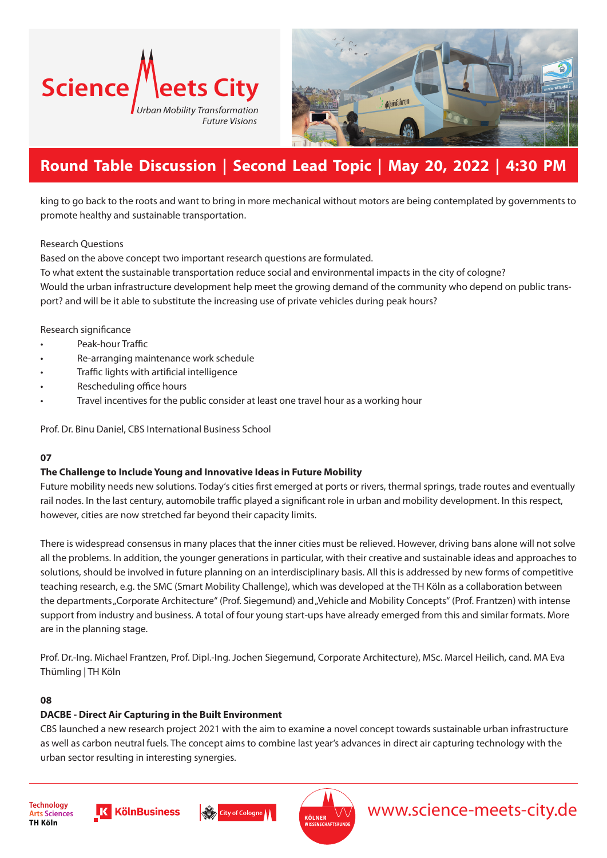



# **Round Table Discussion | Second Lead Topic | May 20, 2022 | 4:30 PM**

king to go back to the roots and want to bring in more mechanical without motors are being contemplated by governments to promote healthy and sustainable transportation.

#### Research Questions

Based on the above concept two important research questions are formulated.

To what extent the sustainable transportation reduce social and environmental impacts in the city of cologne? Would the urban infrastructure development help meet the growing demand of the community who depend on public transport? and will be it able to substitute the increasing use of private vehicles during peak hours?

Research significance

- Peak-hour Traffic
- Re-arranging maintenance work schedule
- Traffic lights with artificial intelligence
- Rescheduling office hours
- Travel incentives for the public consider at least one travel hour as a working hour

Prof. Dr. Binu Daniel, CBS International Business School

#### **07**

#### **The Challenge to Include Young and Innovative Ideas in Future Mobility**

Future mobility needs new solutions. Today's cities first emerged at ports or rivers, thermal springs, trade routes and eventually rail nodes. In the last century, automobile traffic played a significant role in urban and mobility development. In this respect, however, cities are now stretched far beyond their capacity limits.

There is widespread consensus in many places that the inner cities must be relieved. However, driving bans alone will not solve all the problems. In addition, the younger generations in particular, with their creative and sustainable ideas and approaches to solutions, should be involved in future planning on an interdisciplinary basis. All this is addressed by new forms of competitive teaching research, e.g. the SMC (Smart Mobility Challenge), which was developed at the TH Köln as a collaboration between the departments "Corporate Architecture" (Prof. Siegemund) and "Vehicle and Mobility Concepts" (Prof. Frantzen) with intense support from industry and business. A total of four young start-ups have already emerged from this and similar formats. More are in the planning stage.

Prof. Dr.-Ing. Michael Frantzen, Prof. Dipl.-Ing. Jochen Siegemund, Corporate Architecture), MSc. Marcel Heilich, cand. MA Eva Thümling | TH Köln

#### **08**

#### **DACBE - Direct Air Capturing in the Built Environment**

CBS launched a new research project 2021 with the aim to examine a novel concept towards sustainable urban infrastructure as well as carbon neutral fuels. The concept aims to combine last year's advances in direct air capturing technology with the urban sector resulting in interesting synergies.